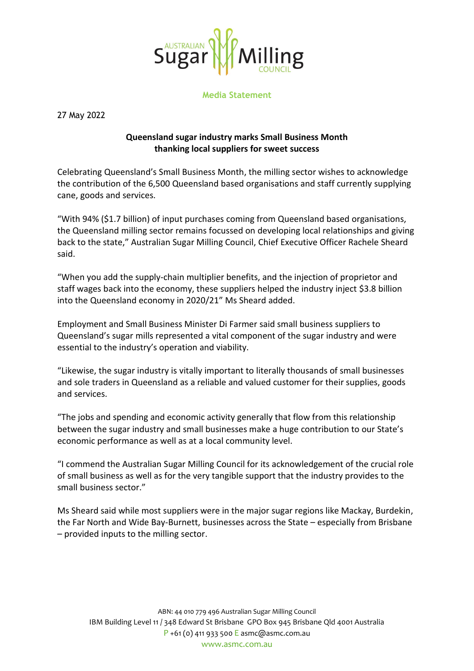

**Media Statement**

27 May 2022

## **Queensland sugar industry marks Small Business Month thanking local suppliers for sweet success**

Celebrating Queensland's Small Business Month, the milling sector wishes to acknowledge the contribution of the 6,500 Queensland based organisations and staff currently supplying cane, goods and services.

"With 94% (\$1.7 billion) of input purchases coming from Queensland based organisations, the Queensland milling sector remains focussed on developing local relationships and giving back to the state," Australian Sugar Milling Council, Chief Executive Officer Rachele Sheard said.

"When you add the supply-chain multiplier benefits, and the injection of proprietor and staff wages back into the economy, these suppliers helped the industry inject \$3.8 billion into the Queensland economy in 2020/21" Ms Sheard added.

Employment and Small Business Minister Di Farmer said small business suppliers to Queensland's sugar mills represented a vital component of the sugar industry and were essential to the industry's operation and viability.

"Likewise, the sugar industry is vitally important to literally thousands of small businesses and sole traders in Queensland as a reliable and valued customer for their supplies, goods and services.

"The jobs and spending and economic activity generally that flow from this relationship between the sugar industry and small businesses make a huge contribution to our State's economic performance as well as at a local community level.

"I commend the Australian Sugar Milling Council for its acknowledgement of the crucial role of small business as well as for the very tangible support that the industry provides to the small business sector."

Ms Sheard said while most suppliers were in the major sugar regions like Mackay, Burdekin, the Far North and Wide Bay-Burnett, businesses across the State – especially from Brisbane – provided inputs to the milling sector.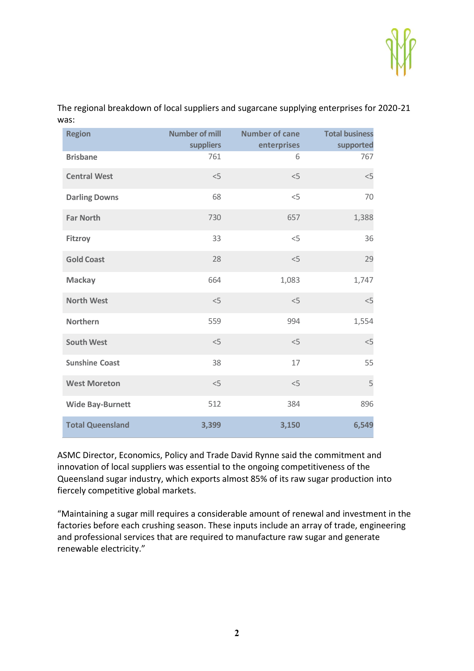

| <b>Region</b>           | <b>Number of mill</b><br>suppliers | <b>Number of cane</b><br>enterprises | <b>Total business</b><br>supported |
|-------------------------|------------------------------------|--------------------------------------|------------------------------------|
| <b>Brisbane</b>         | 761                                | 6                                    | 767                                |
| <b>Central West</b>     | $<$ 5                              | < 5                                  | $<$ 5                              |
| <b>Darling Downs</b>    | 68                                 | < 5                                  | 70                                 |
| <b>Far North</b>        | 730                                | 657                                  | 1,388                              |
| <b>Fitzroy</b>          | 33                                 | $<$ 5                                | 36                                 |
| <b>Gold Coast</b>       | 28                                 | $<$ 5                                | 29                                 |
| <b>Mackay</b>           | 664                                | 1,083                                | 1,747                              |
| <b>North West</b>       | < 5                                | < 5                                  | $<$ 5                              |
| <b>Northern</b>         | 559                                | 994                                  | 1,554                              |
| <b>South West</b>       | < 5                                | $<$ 5                                | $<$ 5                              |
| <b>Sunshine Coast</b>   | 38                                 | 17                                   | 55                                 |
| <b>West Moreton</b>     | < 5                                | $<$ 5                                | 5                                  |
| <b>Wide Bay-Burnett</b> | 512                                | 384                                  | 896                                |
| <b>Total Queensland</b> | 3,399                              | 3,150                                | 6,549                              |

The regional breakdown of local suppliers and sugarcane supplying enterprises for 2020-21 was:

ASMC Director, Economics, Policy and Trade David Rynne said the commitment and innovation of local suppliers was essential to the ongoing competitiveness of the Queensland sugar industry, which exports almost 85% of its raw sugar production into fiercely competitive global markets.

"Maintaining a sugar mill requires a considerable amount of renewal and investment in the factories before each crushing season. These inputs include an array of trade, engineering and professional services that are required to manufacture raw sugar and generate renewable electricity."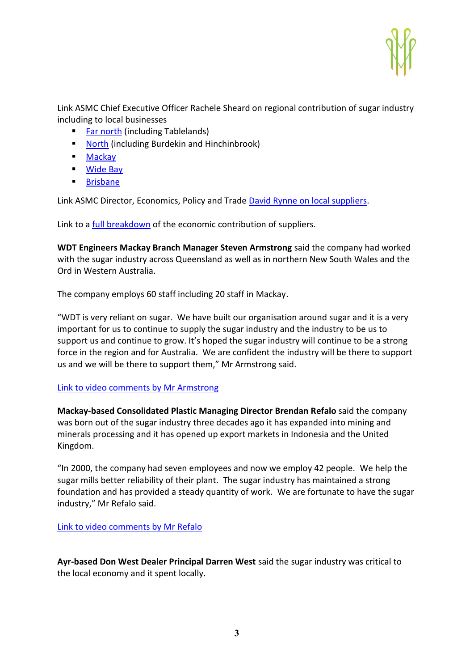

Link ASMC Chief Executive Officer Rachele Sheard on regional contribution of sugar industry including to local businesses

- **[Far north](https://youtu.be/ia0jdYiX4rI) (including Tablelands)**
- [North](https://youtu.be/6JpcFsD-Bas) (including Burdekin and Hinchinbrook)
- **[Mackay](https://youtu.be/gLPnAEUNMWI)**
- [Wide Bay](https://youtu.be/6JjtSeKfLqM)
- **[Brisbane](https://youtu.be/gYSBIRwHgyM)**

Link ASMC Director, Economics, Policy and Trade [David Rynne on local suppliers.](https://youtu.be/BWurAOeHIjk)

Link to a [full breakdown](https://asmc.com.au/sugar-industrys-economic-contribution-2020-21/) of the economic contribution of suppliers.

**WDT Engineers Mackay Branch Manager Steven Armstrong** said the company had worked with the sugar industry across Queensland as well as in northern New South Wales and the Ord in Western Australia.

The company employs 60 staff including 20 staff in Mackay.

"WDT is very reliant on sugar. We have built our organisation around sugar and it is a very important for us to continue to supply the sugar industry and the industry to be us to support us and continue to grow. It's hoped the sugar industry will continue to be a strong force in the region and for Australia. We are confident the industry will be there to support us and we will be there to support them," Mr Armstrong said.

## [Link to video comments by Mr Armstrong](https://youtu.be/A92bvsxGO7A)

**Mackay-based Consolidated Plastic Managing Director Brendan Refalo** said the company was born out of the sugar industry three decades ago it has expanded into mining and minerals processing and it has opened up export markets in Indonesia and the United Kingdom.

"In 2000, the company had seven employees and now we employ 42 people. We help the sugar mills better reliability of their plant. The sugar industry has maintained a strong foundation and has provided a steady quantity of work. We are fortunate to have the sugar industry," Mr Refalo said.

[Link to video comments by Mr Refalo](https://youtu.be/paOlWQDsLrA)

**Ayr-based Don West Dealer Principal Darren West** said the sugar industry was critical to the local economy and it spent locally.